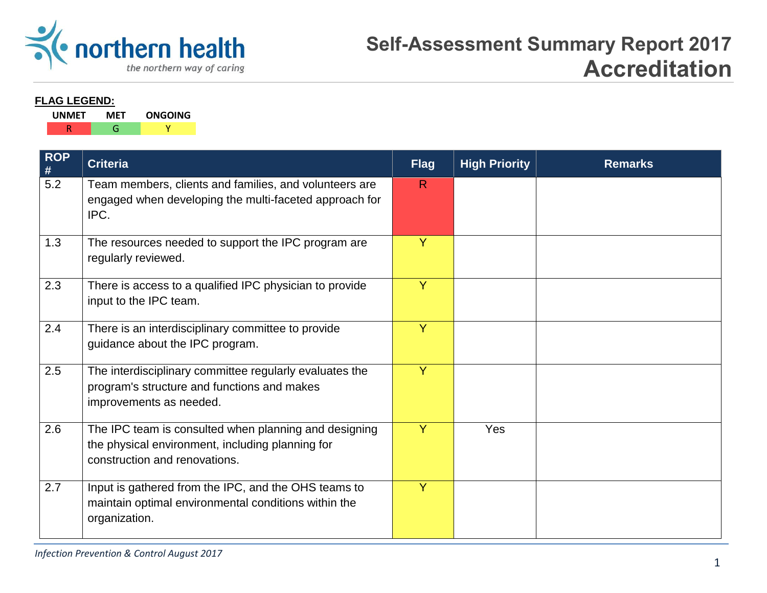

#### **FLAG LEGEND:**

| <b>UNMET</b> | MF I | <b>ONGOING</b> |
|--------------|------|----------------|
|              |      |                |

| <b>ROP</b><br>$\#$ | <b>Criteria</b>                                                                                                                            | <b>Flag</b>  | <b>High Priority</b> | <b>Remarks</b> |
|--------------------|--------------------------------------------------------------------------------------------------------------------------------------------|--------------|----------------------|----------------|
| $\overline{5.2}$   | Team members, clients and families, and volunteers are<br>engaged when developing the multi-faceted approach for<br>IPC.                   | $\mathsf{R}$ |                      |                |
| 1.3                | The resources needed to support the IPC program are<br>regularly reviewed.                                                                 | Ÿ            |                      |                |
| 2.3                | There is access to a qualified IPC physician to provide<br>input to the IPC team.                                                          | Y            |                      |                |
| 2.4                | There is an interdisciplinary committee to provide<br>guidance about the IPC program.                                                      | Ÿ            |                      |                |
| 2.5                | The interdisciplinary committee regularly evaluates the<br>program's structure and functions and makes<br>improvements as needed.          | Ÿ            |                      |                |
| 2.6                | The IPC team is consulted when planning and designing<br>the physical environment, including planning for<br>construction and renovations. | Y            | Yes                  |                |
| 2.7                | Input is gathered from the IPC, and the OHS teams to<br>maintain optimal environmental conditions within the<br>organization.              | Y            |                      |                |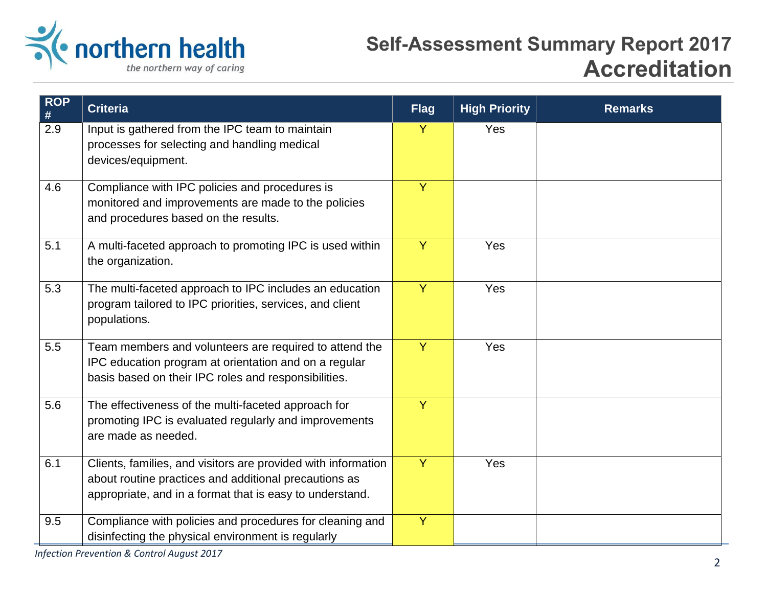

| <b>ROP</b><br>$\#$ | <b>Criteria</b>                                                                                                                                                                    | <b>Flag</b>    | <b>High Priority</b> | <b>Remarks</b> |
|--------------------|------------------------------------------------------------------------------------------------------------------------------------------------------------------------------------|----------------|----------------------|----------------|
| 2.9                | Input is gathered from the IPC team to maintain<br>processes for selecting and handling medical<br>devices/equipment.                                                              | Y              | Yes                  |                |
| 4.6                | Compliance with IPC policies and procedures is<br>monitored and improvements are made to the policies<br>and procedures based on the results.                                      | Y              |                      |                |
| 5.1                | A multi-faceted approach to promoting IPC is used within<br>the organization.                                                                                                      | $\overline{Y}$ | Yes                  |                |
| 5.3                | The multi-faceted approach to IPC includes an education<br>program tailored to IPC priorities, services, and client<br>populations.                                                | $\overline{Y}$ | Yes                  |                |
| 5.5                | Team members and volunteers are required to attend the<br>IPC education program at orientation and on a regular<br>basis based on their IPC roles and responsibilities.            | Y              | Yes                  |                |
| 5.6                | The effectiveness of the multi-faceted approach for<br>promoting IPC is evaluated regularly and improvements<br>are made as needed.                                                | Y              |                      |                |
| 6.1                | Clients, families, and visitors are provided with information<br>about routine practices and additional precautions as<br>appropriate, and in a format that is easy to understand. | Y              | Yes                  |                |
| 9.5                | Compliance with policies and procedures for cleaning and<br>disinfecting the physical environment is regularly                                                                     | $\overline{Y}$ |                      |                |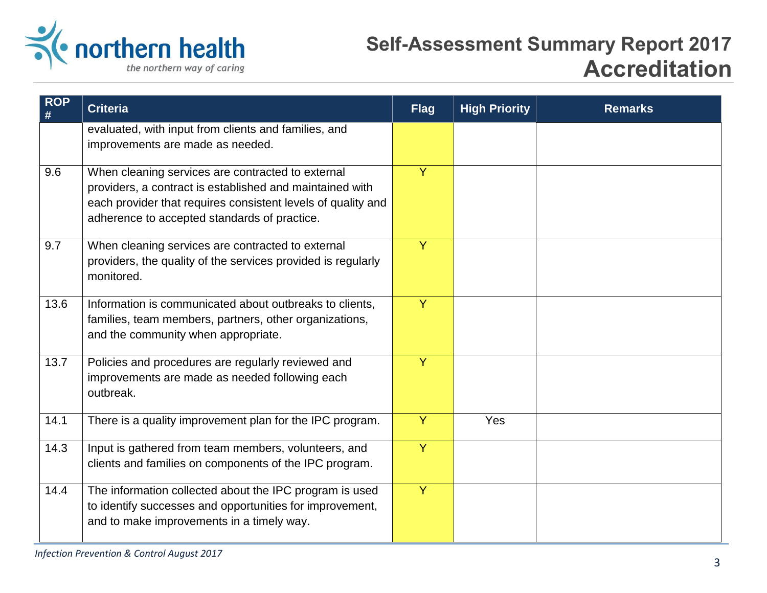

| $ROP$<br># | <b>Criteria</b>                                                                                                                                                                                                               | <b>Flag</b>    | <b>High Priority</b> | <b>Remarks</b> |
|------------|-------------------------------------------------------------------------------------------------------------------------------------------------------------------------------------------------------------------------------|----------------|----------------------|----------------|
|            | evaluated, with input from clients and families, and<br>improvements are made as needed.                                                                                                                                      |                |                      |                |
| 9.6        | When cleaning services are contracted to external<br>providers, a contract is established and maintained with<br>each provider that requires consistent levels of quality and<br>adherence to accepted standards of practice. | $\overline{Y}$ |                      |                |
| 9.7        | When cleaning services are contracted to external<br>providers, the quality of the services provided is regularly<br>monitored.                                                                                               | $\overline{Y}$ |                      |                |
| 13.6       | Information is communicated about outbreaks to clients,<br>families, team members, partners, other organizations,<br>and the community when appropriate.                                                                      | Y              |                      |                |
| 13.7       | Policies and procedures are regularly reviewed and<br>improvements are made as needed following each<br>outbreak.                                                                                                             | Y              |                      |                |
| 14.1       | There is a quality improvement plan for the IPC program.                                                                                                                                                                      | $\overline{Y}$ | Yes                  |                |
| 14.3       | Input is gathered from team members, volunteers, and<br>clients and families on components of the IPC program.                                                                                                                | $\overline{Y}$ |                      |                |
| 14.4       | The information collected about the IPC program is used<br>to identify successes and opportunities for improvement,<br>and to make improvements in a timely way.                                                              | Y              |                      |                |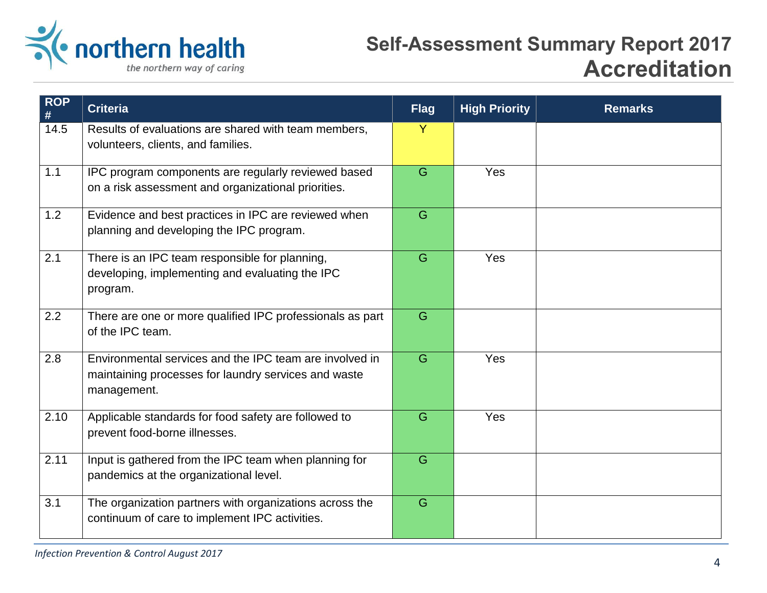

| <b>ROP</b><br># | <b>Criteria</b>                                                                                                                | <b>Flag</b> | <b>High Priority</b> | <b>Remarks</b> |
|-----------------|--------------------------------------------------------------------------------------------------------------------------------|-------------|----------------------|----------------|
| 14.5            | Results of evaluations are shared with team members,<br>volunteers, clients, and families.                                     | Y           |                      |                |
| 1.1             | IPC program components are regularly reviewed based<br>on a risk assessment and organizational priorities.                     | G           | Yes                  |                |
| 1.2             | Evidence and best practices in IPC are reviewed when<br>planning and developing the IPC program.                               | G           |                      |                |
| 2.1             | There is an IPC team responsible for planning,<br>developing, implementing and evaluating the IPC<br>program.                  | G           | Yes                  |                |
| 2.2             | There are one or more qualified IPC professionals as part<br>of the IPC team.                                                  | G           |                      |                |
| 2.8             | Environmental services and the IPC team are involved in<br>maintaining processes for laundry services and waste<br>management. | G           | Yes                  |                |
| 2.10            | Applicable standards for food safety are followed to<br>prevent food-borne illnesses.                                          | G           | Yes                  |                |
| 2.11            | Input is gathered from the IPC team when planning for<br>pandemics at the organizational level.                                | G           |                      |                |
| 3.1             | The organization partners with organizations across the<br>continuum of care to implement IPC activities.                      | G           |                      |                |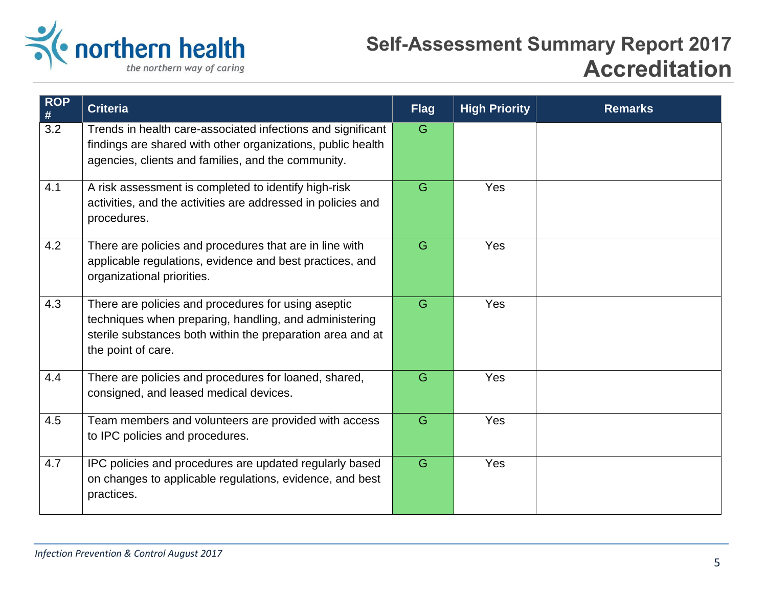

| <b>ROP</b><br>$\#$ | <b>Criteria</b>                                                                                                                                                                                   | <b>Flag</b> | <b>High Priority</b> | <b>Remarks</b> |
|--------------------|---------------------------------------------------------------------------------------------------------------------------------------------------------------------------------------------------|-------------|----------------------|----------------|
| 3.2                | Trends in health care-associated infections and significant<br>findings are shared with other organizations, public health<br>agencies, clients and families, and the community.                  | G           |                      |                |
| 4.1                | A risk assessment is completed to identify high-risk<br>activities, and the activities are addressed in policies and<br>procedures.                                                               | G           | Yes                  |                |
| 4.2                | There are policies and procedures that are in line with<br>applicable regulations, evidence and best practices, and<br>organizational priorities.                                                 | G           | Yes                  |                |
| 4.3                | There are policies and procedures for using aseptic<br>techniques when preparing, handling, and administering<br>sterile substances both within the preparation area and at<br>the point of care. | G           | Yes                  |                |
| 4.4                | There are policies and procedures for loaned, shared,<br>consigned, and leased medical devices.                                                                                                   | G           | Yes                  |                |
| 4.5                | Team members and volunteers are provided with access<br>to IPC policies and procedures.                                                                                                           | G           | Yes                  |                |
| 4.7                | IPC policies and procedures are updated regularly based<br>on changes to applicable regulations, evidence, and best<br>practices.                                                                 | G           | Yes                  |                |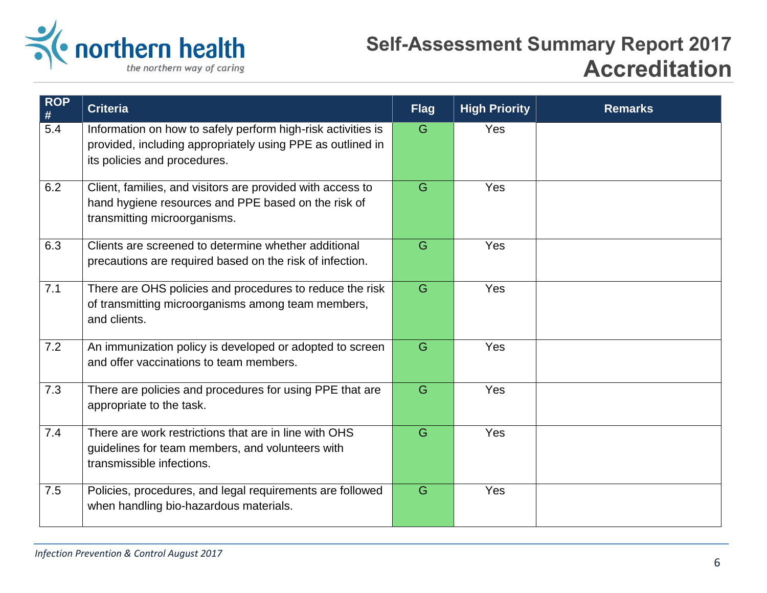

| $ROP$<br>#       | <b>Criteria</b>                                                                                                                                            | <b>Flag</b> | <b>High Priority</b> | <b>Remarks</b> |
|------------------|------------------------------------------------------------------------------------------------------------------------------------------------------------|-------------|----------------------|----------------|
| $\overline{5.4}$ | Information on how to safely perform high-risk activities is<br>provided, including appropriately using PPE as outlined in<br>its policies and procedures. | G           | Yes                  |                |
| 6.2              | Client, families, and visitors are provided with access to<br>hand hygiene resources and PPE based on the risk of<br>transmitting microorganisms.          | G           | Yes                  |                |
| 6.3              | Clients are screened to determine whether additional<br>precautions are required based on the risk of infection.                                           | G           | Yes                  |                |
| 7.1              | There are OHS policies and procedures to reduce the risk<br>of transmitting microorganisms among team members,<br>and clients.                             | G           | Yes                  |                |
| 7.2              | An immunization policy is developed or adopted to screen<br>and offer vaccinations to team members.                                                        | G           | Yes                  |                |
| 7.3              | There are policies and procedures for using PPE that are<br>appropriate to the task.                                                                       | G           | Yes                  |                |
| 7.4              | There are work restrictions that are in line with OHS<br>guidelines for team members, and volunteers with<br>transmissible infections.                     | G           | Yes                  |                |
| 7.5              | Policies, procedures, and legal requirements are followed<br>when handling bio-hazardous materials.                                                        | G           | Yes                  |                |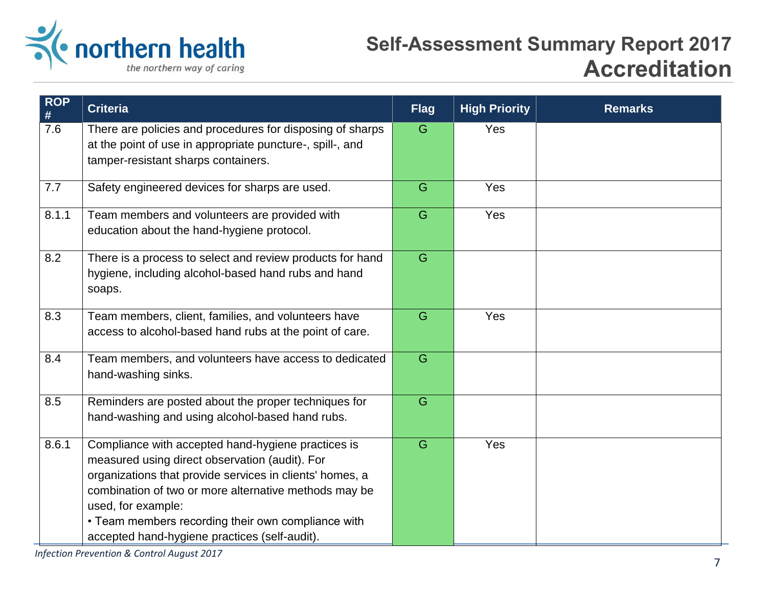

| $ROP$<br># | <b>Criteria</b>                                                                                                                                                                                                                                                                                                                                        | <b>Flag</b> | <b>High Priority</b> | <b>Remarks</b> |
|------------|--------------------------------------------------------------------------------------------------------------------------------------------------------------------------------------------------------------------------------------------------------------------------------------------------------------------------------------------------------|-------------|----------------------|----------------|
| 7.6        | There are policies and procedures for disposing of sharps<br>at the point of use in appropriate puncture-, spill-, and<br>tamper-resistant sharps containers.                                                                                                                                                                                          | G           | Yes                  |                |
| 7.7        | Safety engineered devices for sharps are used.                                                                                                                                                                                                                                                                                                         | G           | Yes                  |                |
| 8.1.1      | Team members and volunteers are provided with<br>education about the hand-hygiene protocol.                                                                                                                                                                                                                                                            | G           | Yes                  |                |
| 8.2        | There is a process to select and review products for hand<br>hygiene, including alcohol-based hand rubs and hand<br>soaps.                                                                                                                                                                                                                             | G           |                      |                |
| 8.3        | Team members, client, families, and volunteers have<br>access to alcohol-based hand rubs at the point of care.                                                                                                                                                                                                                                         | G           | Yes                  |                |
| 8.4        | Team members, and volunteers have access to dedicated<br>hand-washing sinks.                                                                                                                                                                                                                                                                           | G           |                      |                |
| 8.5        | Reminders are posted about the proper techniques for<br>hand-washing and using alcohol-based hand rubs.                                                                                                                                                                                                                                                | G           |                      |                |
| 8.6.1      | Compliance with accepted hand-hygiene practices is<br>measured using direct observation (audit). For<br>organizations that provide services in clients' homes, a<br>combination of two or more alternative methods may be<br>used, for example:<br>• Team members recording their own compliance with<br>accepted hand-hygiene practices (self-audit). | G           | Yes                  |                |

*Infection Prevention & Control August 2017*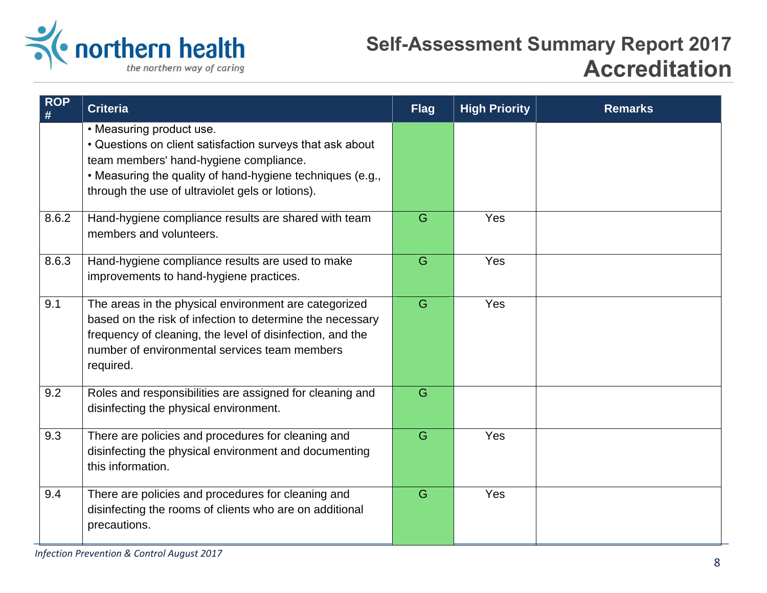

| $ROP$<br># | <b>Criteria</b>                                                                                                                                                                                                                                  | <b>Flag</b> | <b>High Priority</b> | <b>Remarks</b> |
|------------|--------------------------------------------------------------------------------------------------------------------------------------------------------------------------------------------------------------------------------------------------|-------------|----------------------|----------------|
|            | • Measuring product use.<br>• Questions on client satisfaction surveys that ask about<br>team members' hand-hygiene compliance.<br>. Measuring the quality of hand-hygiene techniques (e.g.,<br>through the use of ultraviolet gels or lotions). |             |                      |                |
| 8.6.2      | Hand-hygiene compliance results are shared with team<br>members and volunteers.                                                                                                                                                                  | G           | Yes                  |                |
| 8.6.3      | Hand-hygiene compliance results are used to make<br>improvements to hand-hygiene practices.                                                                                                                                                      | G           | Yes                  |                |
| 9.1        | The areas in the physical environment are categorized<br>based on the risk of infection to determine the necessary<br>frequency of cleaning, the level of disinfection, and the<br>number of environmental services team members<br>required.    | G           | Yes                  |                |
| 9.2        | Roles and responsibilities are assigned for cleaning and<br>disinfecting the physical environment.                                                                                                                                               | G           |                      |                |
| 9.3        | There are policies and procedures for cleaning and<br>disinfecting the physical environment and documenting<br>this information.                                                                                                                 | G           | Yes                  |                |
| 9.4        | There are policies and procedures for cleaning and<br>disinfecting the rooms of clients who are on additional<br>precautions.                                                                                                                    | G           | Yes                  |                |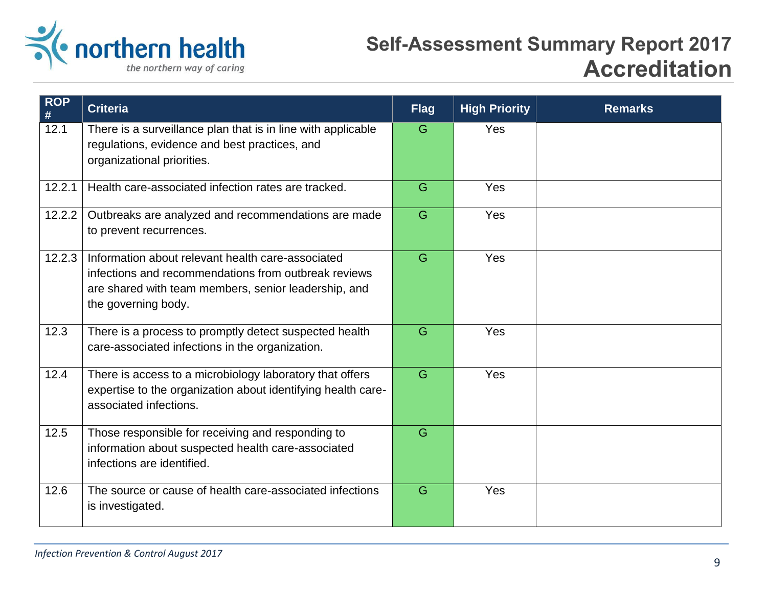

| <b>ROP</b><br>$\#$ | <b>Criteria</b>                                                                                                                                                                          | <b>Flag</b> | <b>High Priority</b> | <b>Remarks</b> |
|--------------------|------------------------------------------------------------------------------------------------------------------------------------------------------------------------------------------|-------------|----------------------|----------------|
| 12.1               | There is a surveillance plan that is in line with applicable<br>regulations, evidence and best practices, and<br>organizational priorities.                                              | G           | Yes                  |                |
| 12.2.1             | Health care-associated infection rates are tracked.                                                                                                                                      | G           | Yes                  |                |
| 12.2.2             | Outbreaks are analyzed and recommendations are made<br>to prevent recurrences.                                                                                                           | G           | Yes                  |                |
| 12.2.3             | Information about relevant health care-associated<br>infections and recommendations from outbreak reviews<br>are shared with team members, senior leadership, and<br>the governing body. | G           | Yes                  |                |
| 12.3               | There is a process to promptly detect suspected health<br>care-associated infections in the organization.                                                                                | G           | Yes                  |                |
| 12.4               | There is access to a microbiology laboratory that offers<br>expertise to the organization about identifying health care-<br>associated infections.                                       | G           | Yes                  |                |
| $12.5$             | Those responsible for receiving and responding to<br>information about suspected health care-associated<br>infections are identified.                                                    | G           |                      |                |
| 12.6               | The source or cause of health care-associated infections<br>is investigated.                                                                                                             | G           | Yes                  |                |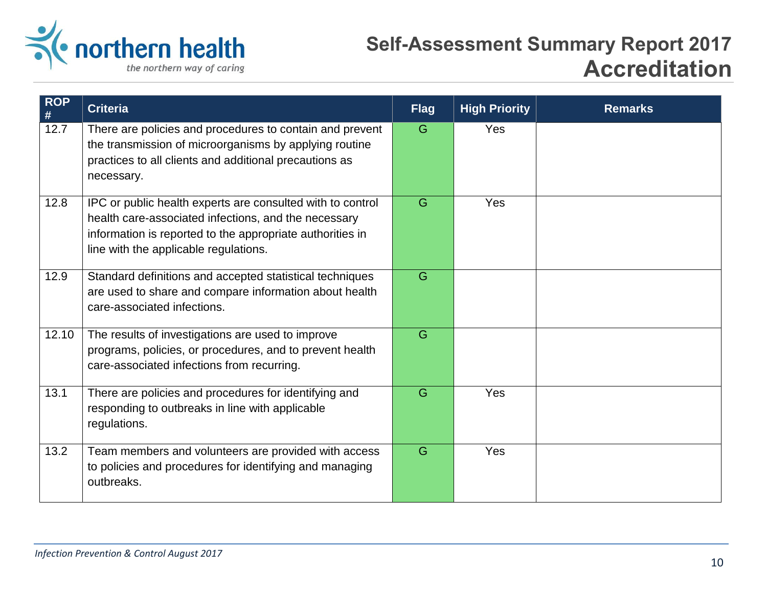

| <b>ROP</b><br>$\#$ | <b>Criteria</b>                                                                                                                                                                                                          | <b>Flag</b> | <b>High Priority</b> | <b>Remarks</b> |
|--------------------|--------------------------------------------------------------------------------------------------------------------------------------------------------------------------------------------------------------------------|-------------|----------------------|----------------|
| 12.7               | There are policies and procedures to contain and prevent<br>the transmission of microorganisms by applying routine<br>practices to all clients and additional precautions as<br>necessary.                               | G           | Yes                  |                |
| 12.8               | IPC or public health experts are consulted with to control<br>health care-associated infections, and the necessary<br>information is reported to the appropriate authorities in<br>line with the applicable regulations. | G           | Yes                  |                |
| 12.9               | Standard definitions and accepted statistical techniques<br>are used to share and compare information about health<br>care-associated infections.                                                                        | G           |                      |                |
| 12.10              | The results of investigations are used to improve<br>programs, policies, or procedures, and to prevent health<br>care-associated infections from recurring.                                                              | G           |                      |                |
| 13.1               | There are policies and procedures for identifying and<br>responding to outbreaks in line with applicable<br>regulations.                                                                                                 | G           | Yes                  |                |
| 13.2               | Team members and volunteers are provided with access<br>to policies and procedures for identifying and managing<br>outbreaks.                                                                                            | G           | Yes                  |                |